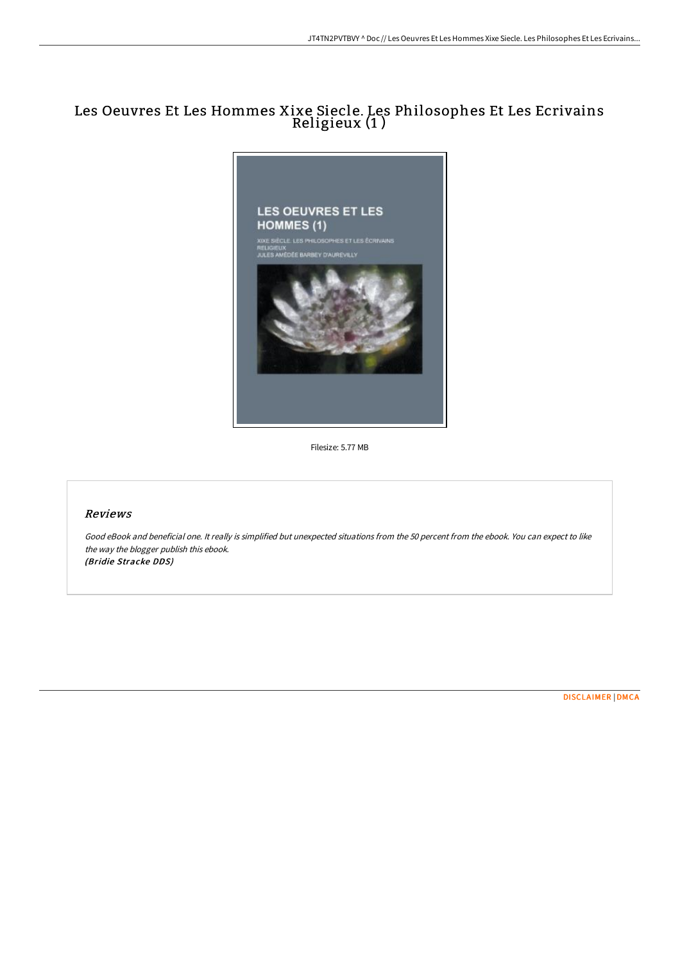# Les Oeuvres Et Les Hommes Xixe Siecle. Les Philosophes Et Les Ecrivains Religieux (1 )



Filesize: 5.77 MB

## Reviews

Good eBook and beneficial one. It really is simplified but unexpected situations from the 50 percent from the ebook. You can expect to like the way the blogger publish this ebook. (Bridie Stracke DDS)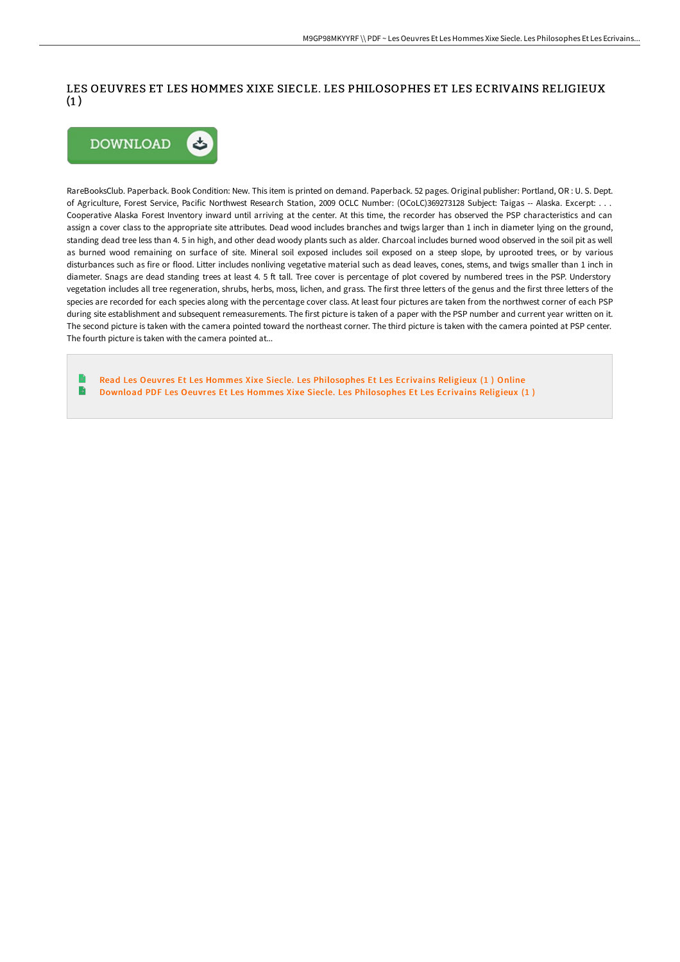## LES OEUVRES ET LES HOMMES XIXE SIECLE. LES PHILOSOPHES ET LES ECRIVAINS RELIGIEUX  $(1)$



RareBooksClub. Paperback. Book Condition: New. This item is printed on demand. Paperback. 52 pages. Original publisher: Portland, OR : U. S. Dept. of Agriculture, Forest Service, Pacific Northwest Research Station, 2009 OCLC Number: (OCoLC)369273128 Subject: Taigas -- Alaska. Excerpt: . . . Cooperative Alaska Forest Inventory inward until arriving at the center. At this time, the recorder has observed the PSP characteristics and can assign a cover class to the appropriate site attributes. Dead wood includes branches and twigs larger than 1 inch in diameter lying on the ground, standing dead tree less than 4. 5 in high, and other dead woody plants such as alder. Charcoal includes burned wood observed in the soil pit as well as burned wood remaining on surface of site. Mineral soil exposed includes soil exposed on a steep slope, by uprooted trees, or by various disturbances such as fire or flood. Litter includes nonliving vegetative material such as dead leaves, cones, stems, and twigs smaller than 1 inch in diameter. Snags are dead standing trees at least 4. 5 ft tall. Tree cover is percentage of plot covered by numbered trees in the PSP. Understory vegetation includes all tree regeneration, shrubs, herbs, moss, lichen, and grass. The first three letters of the genus and the first three letters of the species are recorded for each species along with the percentage cover class. At least four pictures are taken from the northwest corner of each PSP during site establishment and subsequent remeasurements. The first picture is taken of a paper with the PSP number and current year written on it. The second picture is taken with the camera pointed toward the northeast corner. The third picture is taken with the camera pointed at PSP center. The fourth picture is taken with the camera pointed at...

Read Les Oeuvres Et Les Hommes Xixe Siecle. Les [Philosophes](http://albedo.media/les-oeuvres-et-les-hommes-xixe-siecle-les-philos.html) Et Les Ecrivains Religieux (1 ) Online  $\rightarrow$ Download PDF Les Oeuvres Et Les Hommes Xixe Siecle. Les [Philosophes](http://albedo.media/les-oeuvres-et-les-hommes-xixe-siecle-les-philos.html) Et Les Ecrivains Religieux (1 )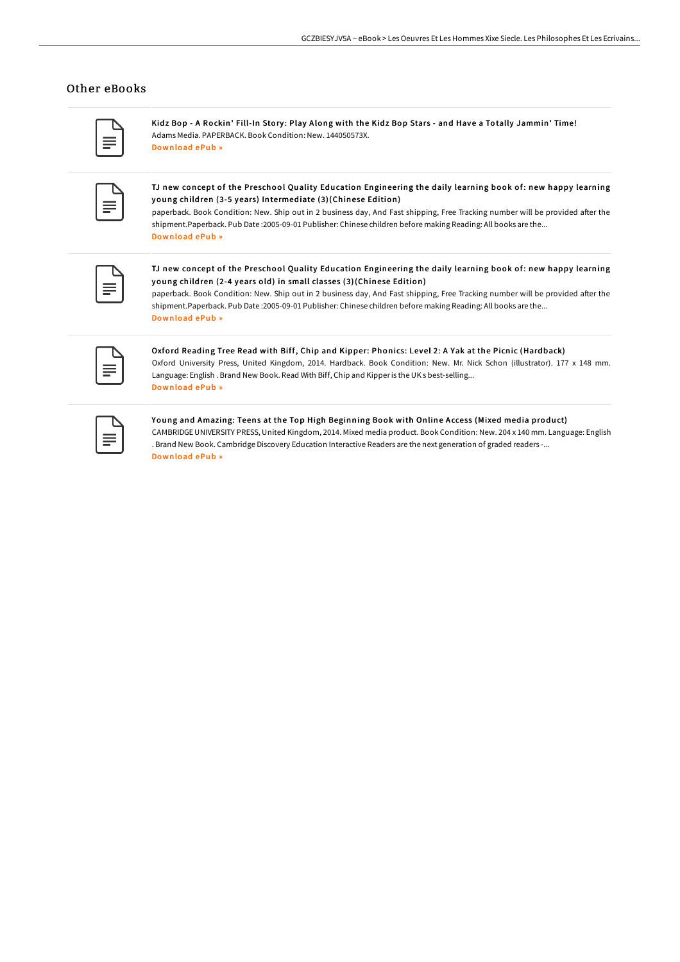#### Other eBooks

Kidz Bop - A Rockin' Fill-In Story: Play Along with the Kidz Bop Stars - and Have a Totally Jammin' Time! Adams Media. PAPERBACK. Book Condition: New. 144050573X. [Download](http://albedo.media/kidz-bop-a-rockin-x27-fill-in-story-play-along-w.html) ePub »

TJ new concept of the Preschool Quality Education Engineering the daily learning book of: new happy learning young children (3-5 years) Intermediate (3)(Chinese Edition)

paperback. Book Condition: New. Ship out in 2 business day, And Fast shipping, Free Tracking number will be provided after the shipment.Paperback. Pub Date :2005-09-01 Publisher: Chinese children before making Reading: All books are the... [Download](http://albedo.media/tj-new-concept-of-the-preschool-quality-educatio-1.html) ePub »

TJ new concept of the Preschool Quality Education Engineering the daily learning book of: new happy learning young children (2-4 years old) in small classes (3)(Chinese Edition)

paperback. Book Condition: New. Ship out in 2 business day, And Fast shipping, Free Tracking number will be provided after the shipment.Paperback. Pub Date :2005-09-01 Publisher: Chinese children before making Reading: All books are the... [Download](http://albedo.media/tj-new-concept-of-the-preschool-quality-educatio-2.html) ePub »

Oxford Reading Tree Read with Biff, Chip and Kipper: Phonics: Level 2: A Yak at the Picnic (Hardback) Oxford University Press, United Kingdom, 2014. Hardback. Book Condition: New. Mr. Nick Schon (illustrator). 177 x 148 mm. Language: English . Brand New Book. Read With Biff, Chip and Kipperis the UK s best-selling... [Download](http://albedo.media/oxford-reading-tree-read-with-biff-chip-and-kipp-8.html) ePub »

#### Young and Amazing: Teens at the Top High Beginning Book with Online Access (Mixed media product)

CAMBRIDGEUNIVERSITY PRESS, United Kingdom, 2014. Mixed media product. Book Condition: New. 204 x 140 mm. Language: English . Brand New Book. Cambridge Discovery Education Interactive Readers are the next generation of graded readers -... [Download](http://albedo.media/young-and-amazing-teens-at-the-top-high-beginnin.html) ePub »